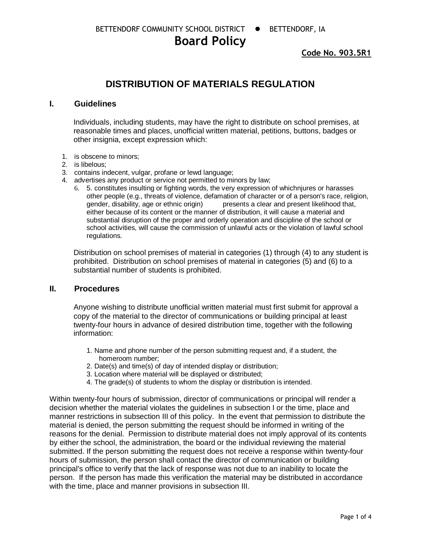# **Board Policy**

**Code No. 903.5R1**

## **DISTRIBUTION OF MATERIALS REGULATION**

#### **I. Guidelines**

Individuals, including students, may have the right to distribute on school premises, at reasonable times and places, unofficial written material, petitions, buttons, badges or other insignia, except expression which:

- 1. is obscene to minors;
- 2. is libelous;
- 3. contains indecent, vulgar, profane or lewd language;
- 4. advertises any product or service not permitted to minors by law;
	- 6. 5. constitutes insulting or fighting words, the very expression of whichnjures or harasses other people (e.g., threats of violence, defamation of character or of a person's race, religion, gender, disability, age or ethnic origin) presents a clear and present likelihood that, presents a clear and present likelihood that, either because of its content or the manner of distribution, it will cause a material and substantial disruption of the proper and orderly operation and discipline of the school or school activities, will cause the commission of unlawful acts or the violation of lawful school regulations.

Distribution on school premises of material in categories (1) through (4) to any student is prohibited. Distribution on school premises of material in categories (5) and (6) to a substantial number of students is prohibited.

#### **II. Procedures**

Anyone wishing to distribute unofficial written material must first submit for approval a copy of the material to the director of communications or building principal at least twenty-four hours in advance of desired distribution time, together with the following information:

- 1. Name and phone number of the person submitting request and, if a student, the homeroom number;
- 2. Date(s) and time(s) of day of intended display or distribution;
- 3. Location where material will be displayed or distributed;
- 4. The grade(s) of students to whom the display or distribution is intended.

Within twenty-four hours of submission, director of communications or principal will render a decision whether the material violates the guidelines in subsection I or the time, place and manner restrictions in subsection III of this policy. In the event that permission to distribute the material is denied, the person submitting the request should be informed in writing of the reasons for the denial. Permission to distribute material does not imply approval of its contents by either the school, the administration, the board or the individual reviewing the material submitted. If the person submitting the request does not receive a response within twenty-four hours of submission, the person shall contact the director of communication or building principal's office to verify that the lack of response was not due to an inability to locate the person. If the person has made this verification the material may be distributed in accordance with the time, place and manner provisions in subsection III.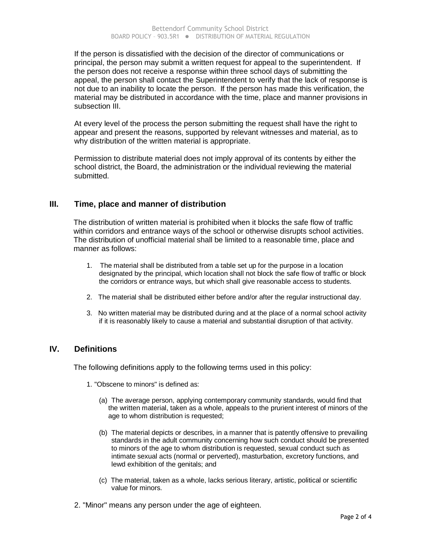If the person is dissatisfied with the decision of the director of communications or principal, the person may submit a written request for appeal to the superintendent. If the person does not receive a response within three school days of submitting the appeal, the person shall contact the Superintendent to verify that the lack of response is not due to an inability to locate the person. If the person has made this verification, the material may be distributed in accordance with the time, place and manner provisions in subsection III.

At every level of the process the person submitting the request shall have the right to appear and present the reasons, supported by relevant witnesses and material, as to why distribution of the written material is appropriate.

Permission to distribute material does not imply approval of its contents by either the school district, the Board, the administration or the individual reviewing the material submitted.

#### **III. Time, place and manner of distribution**

The distribution of written material is prohibited when it blocks the safe flow of traffic within corridors and entrance ways of the school or otherwise disrupts school activities. The distribution of unofficial material shall be limited to a reasonable time, place and manner as follows:

- 1. The material shall be distributed from a table set up for the purpose in a location designated by the principal, which location shall not block the safe flow of traffic or block the corridors or entrance ways, but which shall give reasonable access to students.
- 2. The material shall be distributed either before and/or after the regular instructional day.
- 3. No written material may be distributed during and at the place of a normal school activity if it is reasonably likely to cause a material and substantial disruption of that activity.

#### **IV. Definitions**

The following definitions apply to the following terms used in this policy:

- 1. "Obscene to minors" is defined as:
	- (a) The average person, applying contemporary community standards, would find that the written material, taken as a whole, appeals to the prurient interest of minors of the age to whom distribution is requested;
	- (b) The material depicts or describes, in a manner that is patently offensive to prevailing standards in the adult community concerning how such conduct should be presented to minors of the age to whom distribution is requested, sexual conduct such as intimate sexual acts (normal or perverted), masturbation, excretory functions, and lewd exhibition of the genitals; and
	- (c) The material, taken as a whole, lacks serious literary, artistic, political or scientific value for minors.
- 2. "Minor" means any person under the age of eighteen.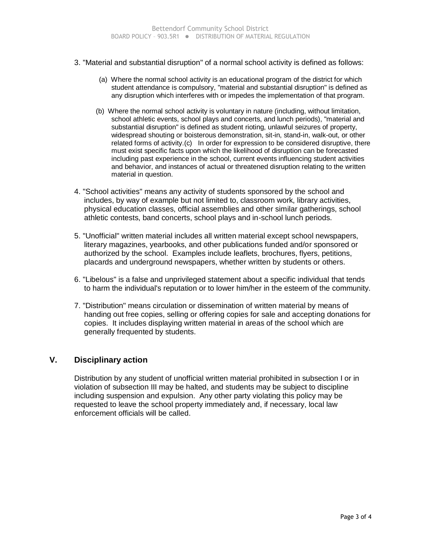- 3. "Material and substantial disruption" of a normal school activity is defined as follows:
	- (a) Where the normal school activity is an educational program of the district for which student attendance is compulsory, "material and substantial disruption" is defined as any disruption which interferes with or impedes the implementation of that program.
	- (b) Where the normal school activity is voluntary in nature (including, without limitation, school athletic events, school plays and concerts, and lunch periods), "material and substantial disruption" is defined as student rioting, unlawful seizures of property, widespread shouting or boisterous demonstration, sit-in, stand-in, walk-out, or other related forms of activity.(c) In order for expression to be considered disruptive, there must exist specific facts upon which the likelihood of disruption can be forecasted including past experience in the school, current events influencing student activities and behavior, and instances of actual or threatened disruption relating to the written material in question.
- 4. "School activities" means any activity of students sponsored by the school and includes, by way of example but not limited to, classroom work, library activities, physical education classes, official assemblies and other similar gatherings, school athletic contests, band concerts, school plays and in-school lunch periods.
- 5. "Unofficial" written material includes all written material except school newspapers, literary magazines, yearbooks, and other publications funded and/or sponsored or authorized by the school. Examples include leaflets, brochures, flyers, petitions, placards and underground newspapers, whether written by students or others.
- 6. "Libelous" is a false and unprivileged statement about a specific individual that tends to harm the individual's reputation or to lower him/her in the esteem of the community.
- 7. "Distribution" means circulation or dissemination of written material by means of handing out free copies, selling or offering copies for sale and accepting donations for copies. It includes displaying written material in areas of the school which are generally frequented by students.

#### **V. Disciplinary action**

Distribution by any student of unofficial written material prohibited in subsection I or in violation of subsection III may be halted, and students may be subject to discipline including suspension and expulsion. Any other party violating this policy may be requested to leave the school property immediately and, if necessary, local law enforcement officials will be called.